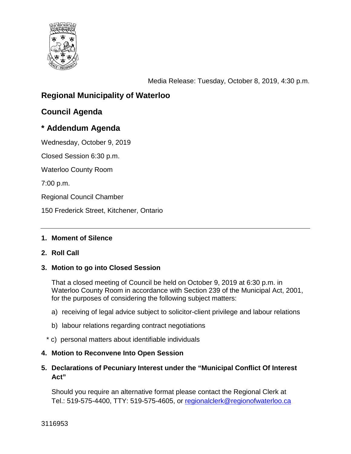

Media Release: Tuesday, October 8, 2019, 4:30 p.m.

# **Regional Municipality of Waterloo**

# **Council Agenda**

## **\* Addendum Agenda**

Wednesday, October 9, 2019

Closed Session 6:30 p.m.

Waterloo County Room

7:00 p.m.

Regional Council Chamber

150 Frederick Street, Kitchener, Ontario

#### **1. Moment of Silence**

#### **2. Roll Call**

#### **3. Motion to go into Closed Session**

That a closed meeting of Council be held on October 9, 2019 at 6:30 p.m. in Waterloo County Room in accordance with Section 239 of the Municipal Act, 2001, for the purposes of considering the following subject matters:

- a) receiving of legal advice subject to solicitor-client privilege and labour relations
- b) labour relations regarding contract negotiations
- \* c) personal matters about identifiable individuals

#### **4. Motion to Reconvene Into Open Session**

**5. Declarations of Pecuniary Interest under the "Municipal Conflict Of Interest Act"**

Should you require an alternative format please contact the Regional Clerk at Tel.: 519-575-4400, TTY: 519-575-4605, or [regionalclerk@regionofwaterloo.ca](mailto:regionalclerk@regionofwaterloo.ca)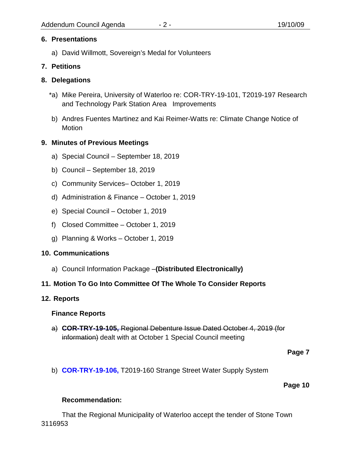## **6. Presentations**

a) David Willmott, Sovereign's Medal for Volunteers

## **7. Petitions**

## **8. Delegations**

- \*a) Mike Pereira, University of Waterloo re: COR-TRY-19-101, T2019-197 Research and Technology Park Station Area Improvements
- b) Andres Fuentes Martinez and Kai Reimer-Watts re: Climate Change Notice of Motion

## **9. Minutes of Previous Meetings**

- a) Special Council September 18, 2019
- b) Council September 18, 2019
- c) Community Services– October 1, 2019
- d) Administration & Finance October 1, 2019
- e) Special Council October 1, 2019
- f) Closed Committee October 1, 2019
- g) Planning & Works October 1, 2019

## **10. Communications**

a) Council Information Package –**(Distributed Electronically)**

## **11. Motion To Go Into Committee Of The Whole To Consider Reports**

## **12. Reports**

## **Finance Reports**

a) **COR-TRY-19-105,** Regional Debenture Issue Dated October 4, 2019 (for information) dealt with at October 1 Special Council meeting

#### **Page 7**

b) **[COR-TRY-19-106,](#page-7-0)** T2019-160 Strange Street Water Supply System

#### **Page 10**

## **Recommendation:**

That the Regional Municipality of Waterloo accept the tender of Stone Town 3116953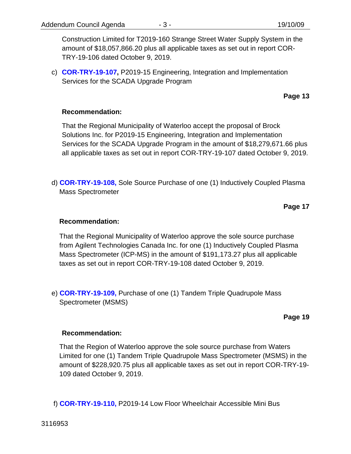Construction Limited for T2019-160 Strange Street Water Supply System in the amount of \$18,057,866.20 plus all applicable taxes as set out in report COR-TRY-19-106 dated October 9, 2019.

c) **[COR-TRY-19-107,](#page-10-0)** P2019-15 Engineering, Integration and Implementation Services for the SCADA Upgrade Program

**Page 13**

#### **Recommendation:**

That the Regional Municipality of Waterloo accept the proposal of Brock Solutions Inc. for P2019-15 Engineering, Integration and Implementation Services for the SCADA Upgrade Program in the amount of \$18,279,671.66 plus all applicable taxes as set out in report COR-TRY-19-107 dated October 9, 2019.

d) **[COR-TRY-19-108,](#page-14-0)** Sole Source Purchase of one (1) Inductively Coupled Plasma Mass Spectrometer

**Page 17**

#### **Recommendation:**

That the Regional Municipality of Waterloo approve the sole source purchase from Agilent Technologies Canada Inc. for one (1) Inductively Coupled Plasma Mass Spectrometer (ICP-MS) in the amount of \$191,173.27 plus all applicable taxes as set out in report COR-TRY-19-108 dated October 9, 2019.

e) **[COR-TRY-19-109,](#page-16-0)** Purchase of one (1) Tandem Triple Quadrupole Mass Spectrometer (MSMS)

**Page 19**

#### **Recommendation:**

That the Region of Waterloo approve the sole source purchase from Waters Limited for one (1) Tandem Triple Quadrupole Mass Spectrometer (MSMS) in the amount of \$228,920.75 plus all applicable taxes as set out in report COR-TRY-19- 109 dated October 9, 2019.

f) **[COR-TRY-19-110,](#page-19-0)** P2019-14 Low Floor Wheelchair Accessible Mini Bus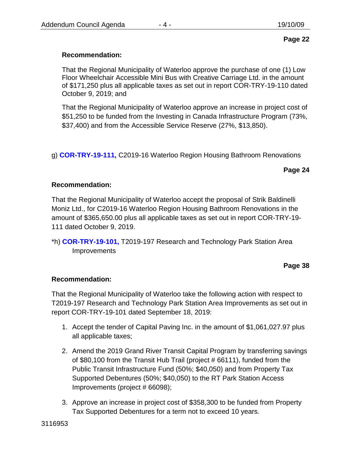## **Page 22**

## **Recommendation:**

That the Regional Municipality of Waterloo approve the purchase of one (1) Low Floor Wheelchair Accessible Mini Bus with Creative Carriage Ltd. in the amount of \$171,250 plus all applicable taxes as set out in report COR-TRY-19-110 dated October 9, 2019; and

That the Regional Municipality of Waterloo approve an increase in project cost of \$51,250 to be funded from the Investing in Canada Infrastructure Program (73%, \$37,400) and from the Accessible Service Reserve (27%, \$13,850).

g) **[COR-TRY-19-111,](#page-21-0)** C2019-16 Waterloo Region Housing Bathroom Renovations

**Page 24**

## **Recommendation:**

That the Regional Municipality of Waterloo accept the proposal of Strik Baldinelli Moniz Ltd., for C2019-16 Waterloo Region Housing Bathroom Renovations in the amount of \$365,650.00 plus all applicable taxes as set out in report COR-TRY-19- 111 dated October 9, 2019.

\*h) **[COR-TRY-19-101,](#page-35-0)** T2019-197 Research and Technology Park Station Area **Improvements** 

#### **Page 38**

## **Recommendation:**

That the Regional Municipality of Waterloo take the following action with respect to T2019-197 Research and Technology Park Station Area Improvements as set out in report COR-TRY-19-101 dated September 18, 2019:

- 1. Accept the tender of Capital Paving Inc. in the amount of \$1,061,027.97 plus all applicable taxes;
- 2. Amend the 2019 Grand River Transit Capital Program by transferring savings of \$80,100 from the Transit Hub Trail (project # 66111), funded from the Public Transit Infrastructure Fund (50%; \$40,050) and from Property Tax Supported Debentures (50%; \$40,050) to the RT Park Station Access Improvements (project # 66098);
- 3. Approve an increase in project cost of \$358,300 to be funded from Property Tax Supported Debentures for a term not to exceed 10 years.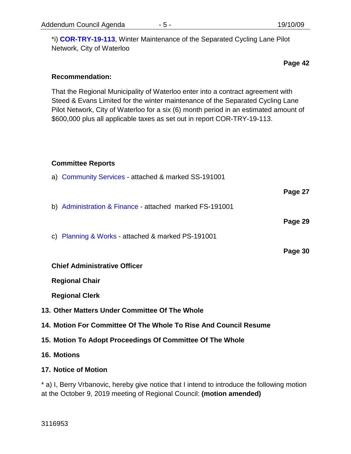\*i) **[COR-TRY-19-113](#page-39-0)**, Winter Maintenance of the Separated Cycling Lane Pilot Network, City of Waterloo

**Page 42**

#### **Recommendation:**

That the Regional Municipality of Waterloo enter into a contract agreement with Steed & Evans Limited for the winter maintenance of the Separated Cycling Lane Pilot Network, City of Waterloo for a six (6) month period in an estimated amount of \$600,000 plus all applicable taxes as set out in report COR-TRY-19-113.

#### **Committee Reports**

| a) Community Services - attached & marked SS-191001              |         |
|------------------------------------------------------------------|---------|
|                                                                  | Page 27 |
| b) Administration & Finance - attached marked FS-191001          |         |
|                                                                  | Page 29 |
| c) Planning & Works - attached & marked PS-191001                |         |
|                                                                  | Page 30 |
| <b>Chief Administrative Officer</b>                              |         |
| <b>Regional Chair</b>                                            |         |
| <b>Regional Clerk</b>                                            |         |
| 13. Other Matters Under Committee Of The Whole                   |         |
|                                                                  |         |
| 14. Motion For Committee Of The Whole To Rise And Council Resume |         |
| 15. Motion To Adopt Proceedings Of Committee Of The Whole        |         |
| <b>16. Motions</b>                                               |         |

\* a) I, Berry Vrbanovic, hereby give notice that I intend to introduce the following motion at the October 9, 2019 meeting of Regional Council: **(motion amended)**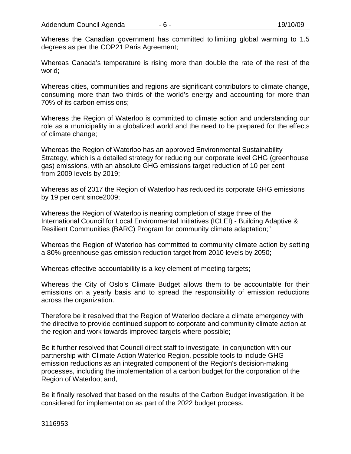Whereas the Canadian government has committed to limiting global warming to 1.5 degrees as per the COP21 Paris Agreement;

Whereas Canada's temperature is rising more than double the rate of the rest of the world;

Whereas cities, communities and regions are significant contributors to climate change, consuming more than two thirds of the world's energy and accounting for more than 70% of its carbon emissions;

Whereas the Region of Waterloo is committed to climate action and understanding our role as a municipality in a globalized world and the need to be prepared for the effects of climate change;

Whereas the Region of Waterloo has an approved Environmental Sustainability Strategy, which is a detailed strategy for reducing our corporate level GHG (greenhouse gas) emissions, with an absolute GHG emissions target reduction of 10 per cent from 2009 levels by 2019;

Whereas as of 2017 the Region of Waterloo has reduced its corporate GHG emissions by 19 per cent since2009;

Whereas the Region of Waterloo is nearing completion of stage three of the International Council for Local Environmental Initiatives (ICLEI) - Building Adaptive & Resilient Communities (BARC) Program for community climate adaptation;"

Whereas the Region of Waterloo has committed to community climate action by setting a 80% greenhouse gas emission reduction target from 2010 levels by 2050;

Whereas effective accountability is a key element of meeting targets;

Whereas the City of Oslo's Climate Budget allows them to be accountable for their emissions on a yearly basis and to spread the responsibility of emission reductions across the organization.

Therefore be it resolved that the Region of Waterloo declare a climate emergency with the directive to provide continued support to corporate and community climate action at the region and work towards improved targets where possible;

Be it further resolved that Council direct staff to investigate, in conjunction with our partnership with Climate Action Waterloo Region, possible tools to include GHG emission reductions as an integrated component of the Region's decision-making processes, including the implementation of a carbon budget for the corporation of the Region of Waterloo; and,

Be it finally resolved that based on the results of the Carbon Budget investigation, it be considered for implementation as part of the 2022 budget process.

3116953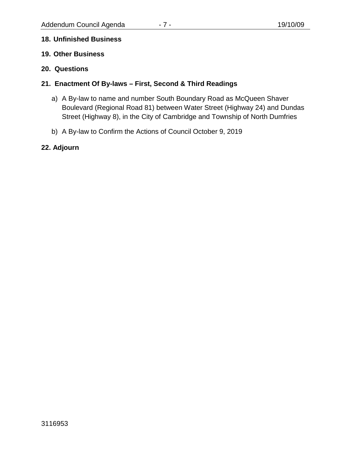#### **18. Unfinished Business**

- **19. Other Business**
- **20. Questions**

## **21. Enactment Of By-laws – First, Second & Third Readings**

- a) A By-law to name and number South Boundary Road as McQueen Shaver Boulevard (Regional Road 81) between Water Street (Highway 24) and Dundas Street (Highway 8), in the City of Cambridge and Township of North Dumfries
- b) A By-law to Confirm the Actions of Council October 9, 2019

## **22. Adjourn**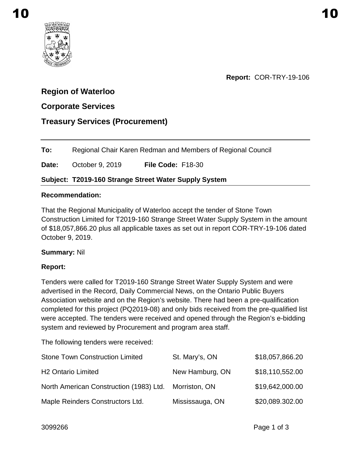<span id="page-7-0"></span>

**Report:** COR-TRY-19-106

# **Region of Waterloo**

# **Corporate Services**

## **Treasury Services (Procurement)**

**To:** Regional Chair Karen Redman and Members of Regional Council

**Date:** October 9, 2019 **File Code:** F18-30

## **Subject: T2019-160 Strange Street Water Supply System**

#### **Recommendation:**

That the Regional Municipality of Waterloo accept the tender of Stone Town Construction Limited for T2019-160 Strange Street Water Supply System in the amount of \$18,057,866.20 plus all applicable taxes as set out in report COR-TRY-19-106 dated October 9, 2019.

## **Summary:** Nil

## **Report:**

Tenders were called for T2019-160 Strange Street Water Supply System and were advertised in the Record, Daily Commercial News, on the Ontario Public Buyers Association website and on the Region's website. There had been a pre-qualification completed for this project (PQ2019-08) and only bids received from the pre-qualified list were accepted. The tenders were received and opened through the Region's e-bidding system and reviewed by Procurement and program area staff.

The following tenders were received:

| <b>Stone Town Construction Limited</b>  | St. Mary's, ON  | \$18,057,866.20 |
|-----------------------------------------|-----------------|-----------------|
| <b>H2 Ontario Limited</b>               | New Hamburg, ON | \$18,110,552.00 |
| North American Construction (1983) Ltd. | Morriston, ON   | \$19,642,000.00 |
| Maple Reinders Constructors Ltd.        | Mississauga, ON | \$20,089.302.00 |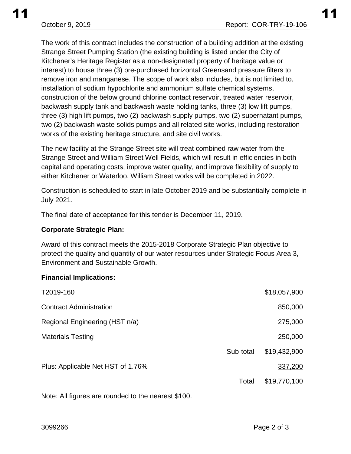The work of this contract includes the construction of a building addition at the existing Strange Street Pumping Station (the existing building is listed under the City of Kitchener's Heritage Register as a non-designated property of heritage value or interest) to house three (3) pre-purchased horizontal Greensand pressure filters to remove iron and manganese. The scope of work also includes, but is not limited to, installation of sodium hypochlorite and ammonium sulfate chemical systems, construction of the below ground chlorine contact reservoir, treated water reservoir, backwash supply tank and backwash waste holding tanks, three (3) low lift pumps, three (3) high lift pumps, two (2) backwash supply pumps, two (2) supernatant pumps, two (2) backwash waste solids pumps and all related site works, including restoration works of the existing heritage structure, and site civil works.

The new facility at the Strange Street site will treat combined raw water from the Strange Street and William Street Well Fields, which will result in efficiencies in both capital and operating costs, improve water quality, and improve flexibility of supply to either Kitchener or Waterloo. William Street works will be completed in 2022.

Construction is scheduled to start in late October 2019 and be substantially complete in July 2021.

The final date of acceptance for this tender is December 11, 2019.

#### **Corporate Strategic Plan:**

Award of this contract meets the 2015-2018 Corporate Strategic Plan objective to protect the quality and quantity of our water resources under Strategic Focus Area 3, Environment and Sustainable Growth.

#### **Financial Implications:**

| T2019-160                         |           | \$18,057,900 |
|-----------------------------------|-----------|--------------|
| <b>Contract Administration</b>    |           | 850,000      |
| Regional Engineering (HST n/a)    |           | 275,000      |
| <b>Materials Testing</b>          |           | 250,000      |
|                                   | Sub-total | \$19,432,900 |
| Plus: Applicable Net HST of 1.76% |           | 337,200      |
|                                   | Total     | \$19,770,100 |

Note: All figures are rounded to the nearest \$100.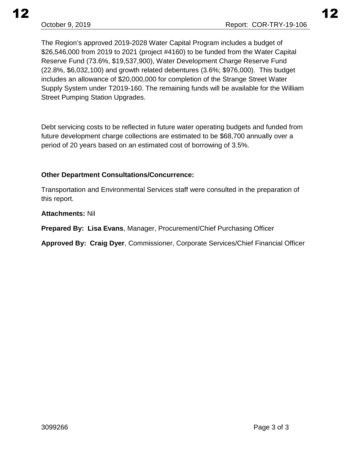The Region's approved 2019-2028 Water Capital Program includes a budget of \$26,546,000 from 2019 to 2021 (project #4160) to be funded from the Water Capital Reserve Fund (73.6%, \$19,537,900), Water Development Charge Reserve Fund (22.8%, \$6,032,100) and growth related debentures (3.6%; \$976,000). This budget includes an allowance of \$20,000,000 for completion of the Strange Street Water Supply System under T2019-160. The remaining funds will be available for the William Street Pumping Station Upgrades.

Debt servicing costs to be reflected in future water operating budgets and funded from future development charge collections are estimated to be \$68,700 annually over a period of 20 years based on an estimated cost of borrowing of 3.5%.

## **Other Department Consultations/Concurrence:**

Transportation and Environmental Services staff were consulted in the preparation of this report.

## **Attachments:** Nil

**Prepared By: Lisa Evans**, Manager, Procurement/Chief Purchasing Officer

**Approved By: Craig Dyer**, Commissioner, Corporate Services/Chief Financial Officer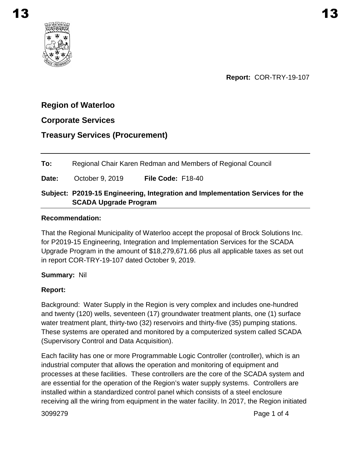# <span id="page-10-0"></span>**Region of Waterloo**

## **Corporate Services**

# **Treasury Services (Procurement)**

**To:** Regional Chair Karen Redman and Members of Regional Council **Date:** October 9, 2019 **File Code:** F18-40 **Subject: P2019-15 Engineering, Integration and Implementation Services for the SCADA Upgrade Program**

#### **Recommendation:**

That the Regional Municipality of Waterloo accept the proposal of Brock Solutions Inc. for P2019-15 Engineering, Integration and Implementation Services for the SCADA Upgrade Program in the amount of \$18,279,671.66 plus all applicable taxes as set out in report COR-TRY-19-107 dated October 9, 2019.

## **Summary:** Nil

## **Report:**

Background: Water Supply in the Region is very complex and includes one-hundred and twenty (120) wells, seventeen (17) groundwater treatment plants, one (1) surface water treatment plant, thirty-two (32) reservoirs and thirty-five (35) pumping stations. These systems are operated and monitored by a computerized system called SCADA (Supervisory Control and Data Acquisition).

Each facility has one or more Programmable Logic Controller (controller), which is an industrial computer that allows the operation and monitoring of equipment and processes at these facilities. These controllers are the core of the SCADA system and are essential for the operation of the Region's water supply systems. Controllers are installed within a standardized control panel which consists of a steel enclosure receiving all the wiring from equipment in the water facility. In 2017, the Region initiated

3099279 Page 1 of 4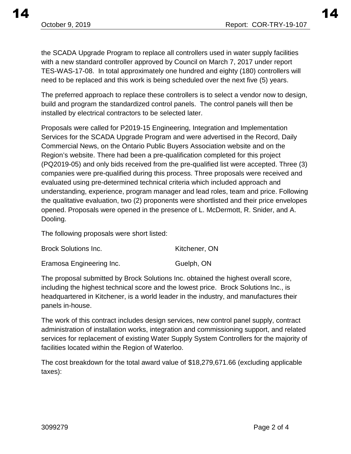the SCADA Upgrade Program to replace all controllers used in water supply facilities with a new standard controller approved by Council on March 7, 2017 under report

TES-WAS-17-08. In total approximately one hundred and eighty (180) controllers will need to be replaced and this work is being scheduled over the next five (5) years.

The preferred approach to replace these controllers is to select a vendor now to design, build and program the standardized control panels. The control panels will then be installed by electrical contractors to be selected later.

Proposals were called for P2019-15 Engineering, Integration and Implementation Services for the SCADA Upgrade Program and were advertised in the Record, Daily Commercial News, on the Ontario Public Buyers Association website and on the Region's website. There had been a pre-qualification completed for this project (PQ2019-05) and only bids received from the pre-qualified list were accepted. Three (3) companies were pre-qualified during this process. Three proposals were received and evaluated using pre-determined technical criteria which included approach and understanding, experience, program manager and lead roles, team and price. Following the qualitative evaluation, two (2) proponents were shortlisted and their price envelopes opened. Proposals were opened in the presence of L. McDermott, R. Snider, and A. Dooling.

The following proposals were short listed:

| <b>Brock Solutions Inc.</b> | Kitchener, ON |
|-----------------------------|---------------|
| Eramosa Engineering Inc.    | Guelph, ON    |

The proposal submitted by Brock Solutions Inc. obtained the highest overall score, including the highest technical score and the lowest price. Brock Solutions Inc., is headquartered in Kitchener, is a world leader in the industry, and manufactures their panels in-house.

The work of this contract includes design services, new control panel supply, contract administration of installation works, integration and commissioning support, and related services for replacement of existing Water Supply System Controllers for the majority of facilities located within the Region of Waterloo.

The cost breakdown for the total award value of \$18,279,671.66 (excluding applicable taxes):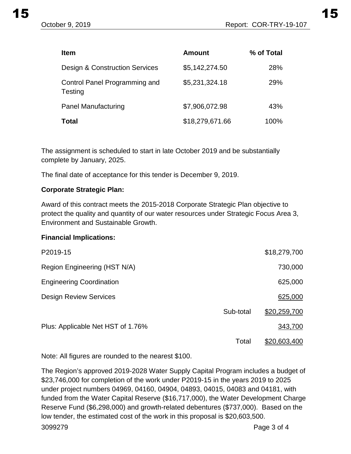| <b>Item</b>                                     | <b>Amount</b>   | % of Total |
|-------------------------------------------------|-----------------|------------|
| <b>Design &amp; Construction Services</b>       | \$5,142,274.50  | 28%        |
| Control Panel Programming and<br><b>Testing</b> | \$5,231,324.18  | <b>29%</b> |
| <b>Panel Manufacturing</b>                      | \$7,906,072.98  | 43%        |
| <b>Total</b>                                    | \$18,279,671.66 | 100%       |

The assignment is scheduled to start in late October 2019 and be substantially complete by January, 2025.

The final date of acceptance for this tender is December 9, 2019.

#### **Corporate Strategic Plan:**

Award of this contract meets the 2015-2018 Corporate Strategic Plan objective to protect the quality and quantity of our water resources under Strategic Focus Area 3, Environment and Sustainable Growth.

#### **Financial Implications:**

| P2019-15                          |           | \$18,279,700        |
|-----------------------------------|-----------|---------------------|
| Region Engineering (HST N/A)      |           | 730,000             |
| <b>Engineering Coordination</b>   |           | 625,000             |
| <b>Design Review Services</b>     |           | 625,000             |
|                                   | Sub-total | \$20,259,700        |
| Plus: Applicable Net HST of 1.76% |           | 343,700             |
|                                   | Total     | <u>\$20,603,400</u> |

Note: All figures are rounded to the nearest \$100.

The Region's approved 2019-2028 Water Supply Capital Program includes a budget of \$23,746,000 for completion of the work under P2019-15 in the years 2019 to 2025 under project numbers 04969, 04160, 04904, 04893, 04015, 04083 and 04181, with funded from the Water Capital Reserve (\$16,717,000), the Water Development Charge Reserve Fund (\$6,298,000) and growth-related debentures (\$737,000). Based on the low tender, the estimated cost of the work in this proposal is \$20,603,500. 3099279 Page 3 of 4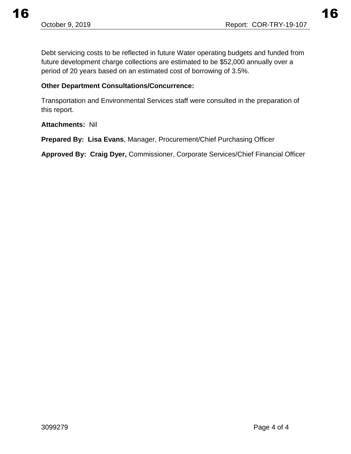$16$  and  $16$ 

Debt servicing costs to be reflected in future Water operating budgets and funded from future development charge collections are estimated to be \$52,000 annually over a period of 20 years based on an estimated cost of borrowing of 3.5%.

#### **Other Department Consultations/Concurrence:**

Transportation and Environmental Services staff were consulted in the preparation of this report.

#### **Attachments:** Nil

**Prepared By: Lisa Evans**, Manager, Procurement/Chief Purchasing Officer

**Approved By: Craig Dyer,** Commissioner, Corporate Services/Chief Financial Officer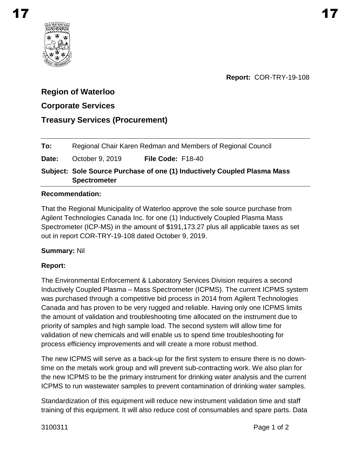<span id="page-14-0"></span>

# **Region of Waterloo**

# **Corporate Services**

# **Treasury Services (Procurement)**

| To: |  | Regional Chair Karen Redman and Members of Regional Council |
|-----|--|-------------------------------------------------------------|
|-----|--|-------------------------------------------------------------|

**Date:** October 9, 2019 **File Code:** F18-40

**Subject: Sole Source Purchase of one (1) Inductively Coupled Plasma Mass Spectrometer**

## **Recommendation:**

That the Regional Municipality of Waterloo approve the sole source purchase from Agilent Technologies Canada Inc. for one (1) Inductively Coupled Plasma Mass Spectrometer (ICP-MS) in the amount of \$191,173.27 plus all applicable taxes as set out in report COR-TRY-19-108 dated October 9, 2019.

## **Summary:** Nil

# **Report:**

The Environmental Enforcement & Laboratory Services Division requires a second Inductively Coupled Plasma – Mass Spectrometer (ICPMS). The current ICPMS system was purchased through a competitive bid process in 2014 from Agilent Technologies Canada and has proven to be very rugged and reliable. Having only one ICPMS limits the amount of validation and troubleshooting time allocated on the instrument due to priority of samples and high sample load. The second system will allow time for validation of new chemicals and will enable us to spend time troubleshooting for process efficiency improvements and will create a more robust method.

The new ICPMS will serve as a back-up for the first system to ensure there is no downtime on the metals work group and will prevent sub-contracting work. We also plan for the new ICPMS to be the primary instrument for drinking water analysis and the current ICPMS to run wastewater samples to prevent contamination of drinking water samples.

Standardization of this equipment will reduce new instrument validation time and staff training of this equipment. It will also reduce cost of consumables and spare parts. Data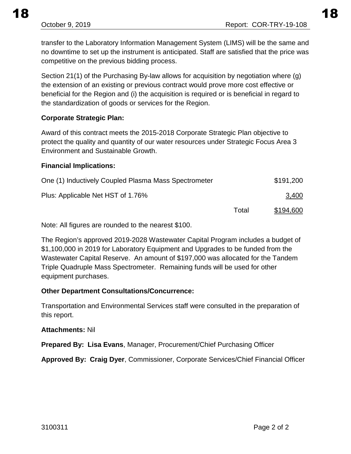transfer to the Laboratory Information Management System (LIMS) will be the same and no downtime to set up the instrument is anticipated. Staff are satisfied that the price was competitive on the previous bidding process.

Section 21(1) of the Purchasing By-law allows for acquisition by negotiation where (g) the extension of an existing or previous contract would prove more cost effective or beneficial for the Region and (i) the acquisition is required or is beneficial in regard to the standardization of goods or services for the Region.

## **Corporate Strategic Plan:**

Award of this contract meets the 2015-2018 Corporate Strategic Plan objective to protect the quality and quantity of our water resources under Strategic Focus Area 3 Environment and Sustainable Growth.

## **Financial Implications:**

| One (1) Inductively Coupled Plasma Mass Spectrometer |       | \$191,200        |
|------------------------------------------------------|-------|------------------|
| Plus: Applicable Net HST of 1.76%                    |       | 3,400            |
|                                                      | Total | <u>\$194,600</u> |

Note: All figures are rounded to the nearest \$100.

The Region's approved 2019-2028 Wastewater Capital Program includes a budget of \$1,100,000 in 2019 for Laboratory Equipment and Upgrades to be funded from the Wastewater Capital Reserve. An amount of \$197,000 was allocated for the Tandem Triple Quadruple Mass Spectrometer. Remaining funds will be used for other equipment purchases.

## **Other Department Consultations/Concurrence:**

Transportation and Environmental Services staff were consulted in the preparation of this report.

#### **Attachments:** Nil

**Prepared By: Lisa Evans**, Manager, Procurement/Chief Purchasing Officer

**Approved By: Craig Dyer**, Commissioner, Corporate Services/Chief Financial Officer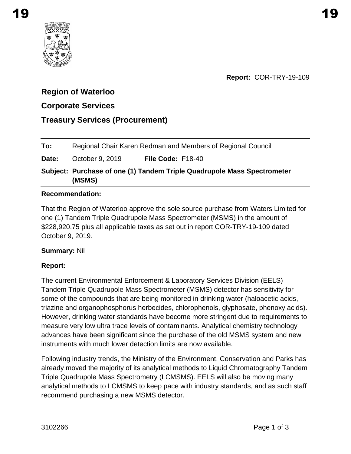<span id="page-16-0"></span>

# **Region of Waterloo**

# **Corporate Services**

# **Treasury Services (Procurement)**

**Date:** October 9, 2019 **File Code:** F18-40

**Subject: Purchase of one (1) Tandem Triple Quadrupole Mass Spectrometer (MSMS)** 

## **Recommendation:**

That the Region of Waterloo approve the sole source purchase from Waters Limited for one (1) Tandem Triple Quadrupole Mass Spectrometer (MSMS) in the amount of \$228,920.75 plus all applicable taxes as set out in report COR-TRY-19-109 dated October 9, 2019.

## **Summary:** Nil

## **Report:**

The current Environmental Enforcement & Laboratory Services Division (EELS) Tandem Triple Quadrupole Mass Spectrometer (MSMS) detector has sensitivity for some of the compounds that are being monitored in drinking water (haloacetic acids, triazine and organophosphorus herbecides, chlorophenols, glyphosate, phenoxy acids). However, drinking water standards have become more stringent due to requirements to measure very low ultra trace levels of contaminants. Analytical chemistry technology advances have been significant since the purchase of the old MSMS system and new instruments with much lower detection limits are now available.

Following industry trends, the Ministry of the Environment, Conservation and Parks has already moved the majority of its analytical methods to Liquid Chromatography Tandem Triple Quadrupole Mass Spectrometry (LCMSMS). EELS will also be moving many analytical methods to LCMSMS to keep pace with industry standards, and as such staff recommend purchasing a new MSMS detector.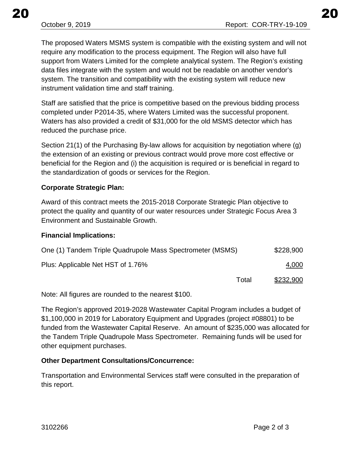The proposed Waters MSMS system is compatible with the existing system and will not require any modification to the process equipment. The Region will also have full support from Waters Limited for the complete analytical system. The Region's existing data files integrate with the system and would not be readable on another vendor's system. The transition and compatibility with the existing system will reduce new instrument validation time and staff training.

Staff are satisfied that the price is competitive based on the previous bidding process completed under P2014-35, where Waters Limited was the successful proponent. Waters has also provided a credit of \$31,000 for the old MSMS detector which has reduced the purchase price.

Section 21(1) of the Purchasing By-law allows for acquisition by negotiation where (g) the extension of an existing or previous contract would prove more cost effective or beneficial for the Region and (i) the acquisition is required or is beneficial in regard to the standardization of goods or services for the Region.

## **Corporate Strategic Plan:**

Award of this contract meets the 2015-2018 Corporate Strategic Plan objective to protect the quality and quantity of our water resources under Strategic Focus Area 3 Environment and Sustainable Growth.

## **Financial Implications:**

| One (1) Tandem Triple Quadrupole Mass Spectrometer (MSMS) |       | \$228,900 |
|-----------------------------------------------------------|-------|-----------|
| Plus: Applicable Net HST of 1.76%                         |       | 4,000     |
|                                                           | Total | \$232,900 |

Note: All figures are rounded to the nearest \$100.

The Region's approved 2019-2028 Wastewater Capital Program includes a budget of \$1,100,000 in 2019 for Laboratory Equipment and Upgrades (project #08801) to be funded from the Wastewater Capital Reserve. An amount of \$235,000 was allocated for the Tandem Triple Quadrupole Mass Spectrometer. Remaining funds will be used for other equipment purchases.

## **Other Department Consultations/Concurrence:**

Transportation and Environmental Services staff were consulted in the preparation of this report.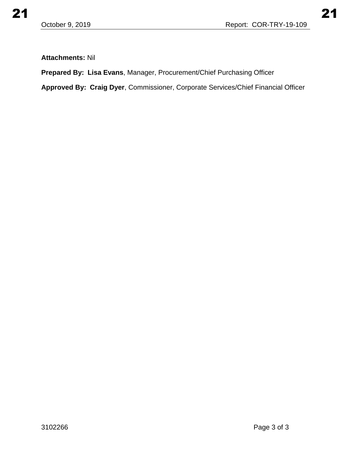## **Attachments:** Nil

**Prepared By: Lisa Evans**, Manager, Procurement/Chief Purchasing Officer

**Approved By: Craig Dyer**, Commissioner, Corporate Services/Chief Financial Officer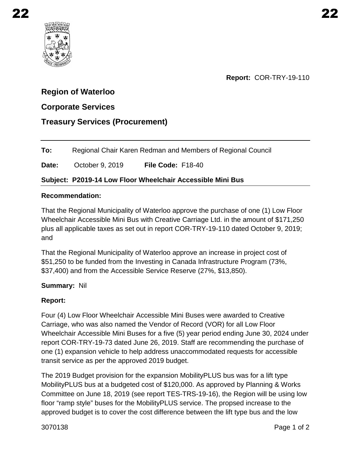<span id="page-19-0"></span>

**Report:** COR-TRY-19-110

# **Region of Waterloo**

# **Corporate Services**

# **Treasury Services (Procurement)**

**To:** Regional Chair Karen Redman and Members of Regional Council

**Date:** October 9, 2019 **File Code:** F18-40

## **Subject: P2019-14 Low Floor Wheelchair Accessible Mini Bus**

#### **Recommendation:**

That the Regional Municipality of Waterloo approve the purchase of one (1) Low Floor Wheelchair Accessible Mini Bus with Creative Carriage Ltd. in the amount of \$171,250 plus all applicable taxes as set out in report COR-TRY-19-110 dated October 9, 2019; and

That the Regional Municipality of Waterloo approve an increase in project cost of \$51,250 to be funded from the Investing in Canada Infrastructure Program (73%, \$37,400) and from the Accessible Service Reserve (27%, \$13,850).

## **Summary:** Nil

## **Report:**

Four (4) Low Floor Wheelchair Accessible Mini Buses were awarded to Creative Carriage, who was also named the Vendor of Record (VOR) for all Low Floor Wheelchair Accessible Mini Buses for a five (5) year period ending June 30, 2024 under report COR-TRY-19-73 dated June 26, 2019. Staff are recommending the purchase of one (1) expansion vehicle to help address unaccommodated requests for accessible transit service as per the approved 2019 budget.

The 2019 Budget provision for the expansion MobilityPLUS bus was for a lift type MobilityPLUS bus at a budgeted cost of \$120,000. As approved by Planning & Works Committee on June 18, 2019 (see report TES-TRS-19-16), the Region will be using low floor "ramp style" buses for the MobilityPLUS service. The propsed increase to the approved budget is to cover the cost difference between the lift type bus and the low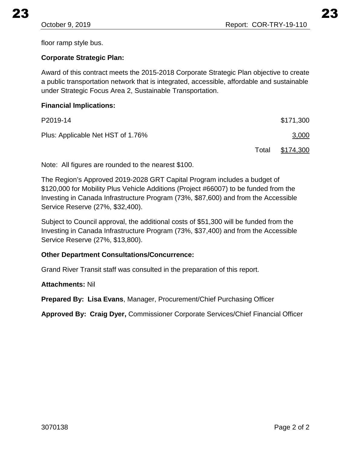floor ramp style bus.

## **Corporate Strategic Plan:**

Award of this contract meets the 2015-2018 Corporate Strategic Plan objective to create a public transportation network that is integrated, accessible, affordable and sustainable under Strategic Focus Area 2, Sustainable Transportation.

#### **Financial Implications:**

| P2019-14                          |       | \$171,300        |
|-----------------------------------|-------|------------------|
| Plus: Applicable Net HST of 1.76% |       | 3,000            |
|                                   | Total | <u>\$174,300</u> |

Note: All figures are rounded to the nearest \$100.

The Region's Approved 2019-2028 GRT Capital Program includes a budget of \$120,000 for Mobility Plus Vehicle Additions (Project #66007) to be funded from the Investing in Canada Infrastructure Program (73%, \$87,600) and from the Accessible Service Reserve (27%, \$32,400).

Subject to Council approval, the additional costs of \$51,300 will be funded from the Investing in Canada Infrastructure Program (73%, \$37,400) and from the Accessible Service Reserve (27%, \$13,800).

## **Other Department Consultations/Concurrence:**

Grand River Transit staff was consulted in the preparation of this report.

## **Attachments:** Nil

**Prepared By: Lisa Evans**, Manager, Procurement/Chief Purchasing Officer

**Approved By: Craig Dyer,** Commissioner Corporate Services/Chief Financial Officer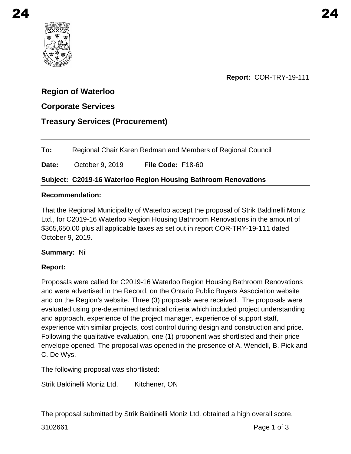<span id="page-21-0"></span>

**Report:** COR-TRY-19-111

# **Region of Waterloo**

# **Corporate Services**

# **Treasury Services (Procurement)**

**To:** Regional Chair Karen Redman and Members of Regional Council

**Date:** October 9, 2019 **File Code:** F18-60

## **Subject: C2019-16 Waterloo Region Housing Bathroom Renovations**

#### **Recommendation:**

That the Regional Municipality of Waterloo accept the proposal of Strik Baldinelli Moniz Ltd., for C2019-16 Waterloo Region Housing Bathroom Renovations in the amount of \$365,650.00 plus all applicable taxes as set out in report COR-TRY-19-111 dated October 9, 2019.

## **Summary:** Nil

## **Report:**

Proposals were called for C2019-16 Waterloo Region Housing Bathroom Renovations and were advertised in the Record, on the Ontario Public Buyers Association website and on the Region's website. Three (3) proposals were received. The proposals were evaluated using pre-determined technical criteria which included project understanding and approach, experience of the project manager, experience of support staff, experience with similar projects, cost control during design and construction and price. Following the qualitative evaluation, one (1) proponent was shortlisted and their price envelope opened. The proposal was opened in the presence of A. Wendell, B. Pick and C. De Wys.

The following proposal was shortlisted:

Strik Baldinelli Moniz Ltd. Kitchener, ON

The proposal submitted by Strik Baldinelli Moniz Ltd. obtained a high overall score.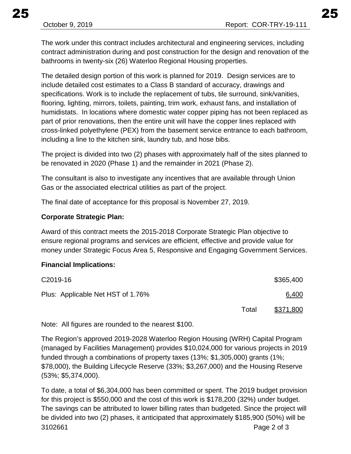The work under this contract includes architectural and engineering services, including contract administration during and post construction for the design and renovation of the bathrooms in twenty-six (26) Waterloo Regional Housing properties.

The detailed design portion of this work is planned for 2019. Design services are to include detailed cost estimates to a Class B standard of accuracy, drawings and specifications. Work is to include the replacement of tubs, tile surround, sink/vanities, flooring, lighting, mirrors, toilets, painting, trim work, exhaust fans, and installation of humidistats. In locations where domestic water copper piping has not been replaced as part of prior renovations, then the entire unit will have the copper lines replaced with cross-linked polyethylene (PEX) from the basement service entrance to each bathroom, including a line to the kitchen sink, laundry tub, and hose bibs.

The project is divided into two (2) phases with approximately half of the sites planned to be renovated in 2020 (Phase 1) and the remainder in 2021 (Phase 2).

The consultant is also to investigate any incentives that are available through Union Gas or the associated electrical utilities as part of the project.

The final date of acceptance for this proposal is November 27, 2019.

#### **Corporate Strategic Plan:**

Award of this contract meets the 2015-2018 Corporate Strategic Plan objective to ensure regional programs and services are efficient, effective and provide value for money under Strategic Focus Area 5, Responsive and Engaging Government Services.

#### **Financial Implications:**

| C <sub>2019</sub> -16             |       | \$365,400 |
|-----------------------------------|-------|-----------|
| Plus: Applicable Net HST of 1.76% |       | 6,400     |
|                                   | Total | \$371,800 |

Note: All figures are rounded to the nearest \$100.

The Region's approved 2019-2028 Waterloo Region Housing (WRH) Capital Program (managed by Facilities Management) provides \$10,024,000 for various projects in 2019 funded through a combinations of property taxes (13%; \$1,305,000) grants (1%; \$78,000), the Building Lifecycle Reserve (33%; \$3,267,000) and the Housing Reserve (53%; \$5,374,000).

To date, a total of \$6,304,000 has been committed or spent. The 2019 budget provision for this project is \$550,000 and the cost of this work is \$178,200 (32%) under budget. The savings can be attributed to lower billing rates than budgeted. Since the project will be divided into two (2) phases, it anticipated that approximately \$185,900 (50%) will be 3102661 Page 2 of 3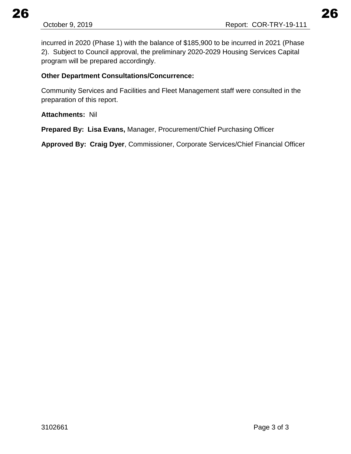incurred in 2020 (Phase 1) with the balance of \$185,900 to be incurred in 2021 (Phase 2). Subject to Council approval, the preliminary 2020-2029 Housing Services Capital program will be prepared accordingly.

## **Other Department Consultations/Concurrence:**

Community Services and Facilities and Fleet Management staff were consulted in the preparation of this report.

**Attachments:** Nil

**Prepared By: Lisa Evans,** Manager, Procurement/Chief Purchasing Officer

**Approved By: Craig Dyer**, Commissioner, Corporate Services/Chief Financial Officer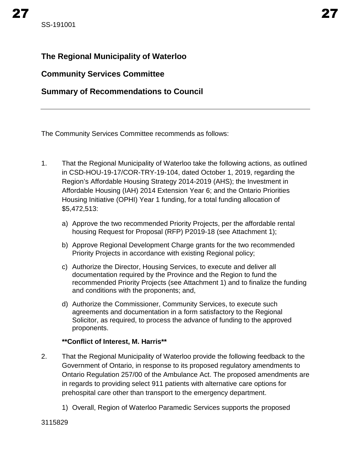# <span id="page-24-0"></span>**The Regional Municipality of Waterloo**

# **Community Services Committee**

# **Summary of Recommendations to Council**

The Community Services Committee recommends as follows:

- 1. That the Regional Municipality of Waterloo take the following actions, as outlined in CSD-HOU-19-17/COR-TRY-19-104, dated October 1, 2019, regarding the Region's Affordable Housing Strategy 2014-2019 (AHS); the Investment in Affordable Housing (IAH) 2014 Extension Year 6; and the Ontario Priorities Housing Initiative (OPHI) Year 1 funding, for a total funding allocation of \$5,472,513:
	- a) Approve the two recommended Priority Projects, per the affordable rental housing Request for Proposal (RFP) P2019-18 (see Attachment 1);
	- b) Approve Regional Development Charge grants for the two recommended Priority Projects in accordance with existing Regional policy;
	- c) Authorize the Director, Housing Services, to execute and deliver all documentation required by the Province and the Region to fund the recommended Priority Projects (see Attachment 1) and to finalize the funding and conditions with the proponents; and,
	- d) Authorize the Commissioner, Community Services, to execute such agreements and documentation in a form satisfactory to the Regional Solicitor, as required, to process the advance of funding to the approved proponents.

## **\*\*Conflict of Interest, M. Harris\*\***

- 2. That the Regional Municipality of Waterloo provide the following feedback to the Government of Ontario, in response to its proposed regulatory amendments to Ontario Regulation 257/00 of the Ambulance Act. The proposed amendments are in regards to providing select 911 patients with alternative care options for prehospital care other than transport to the emergency department.
	- 1) Overall, Region of Waterloo Paramedic Services supports the proposed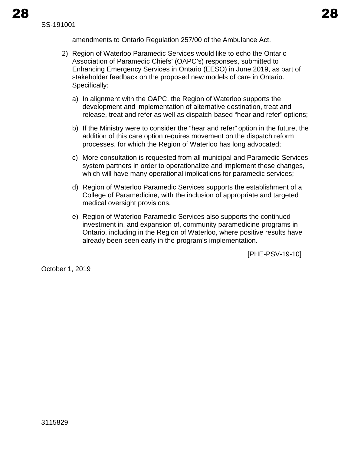amendments to Ontario Regulation 257/00 of the Ambulance Act.

- 2) Region of Waterloo Paramedic Services would like to echo the Ontario Association of Paramedic Chiefs' (OAPC's) responses, submitted to Enhancing Emergency Services in Ontario (EESO) in June 2019, as part of stakeholder feedback on the proposed new models of care in Ontario. Specifically:
	- a) In alignment with the OAPC, the Region of Waterloo supports the development and implementation of alternative destination, treat and release, treat and refer as well as dispatch-based "hear and refer" options;
	- b) If the Ministry were to consider the "hear and refer" option in the future, the addition of this care option requires movement on the dispatch reform processes, for which the Region of Waterloo has long advocated;
	- c) More consultation is requested from all municipal and Paramedic Services system partners in order to operationalize and implement these changes, which will have many operational implications for paramedic services;
	- d) Region of Waterloo Paramedic Services supports the establishment of a College of Paramedicine, with the inclusion of appropriate and targeted medical oversight provisions.
	- e) Region of Waterloo Paramedic Services also supports the continued investment in, and expansion of, community paramedicine programs in Ontario, including in the Region of Waterloo, where positive results have already been seen early in the program's implementation.

[PHE-PSV-19-10]

October 1, 2019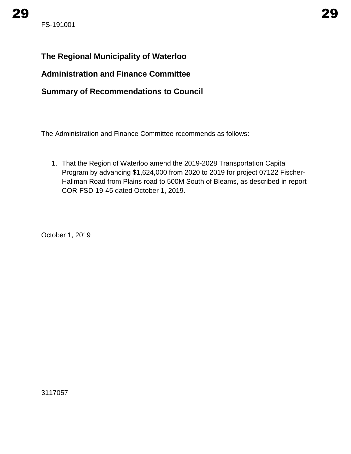# <span id="page-26-0"></span>**The Regional Municipality of Waterloo**

# **Administration and Finance Committee**

# **Summary of Recommendations to Council**

The Administration and Finance Committee recommends as follows:

1. That the Region of Waterloo amend the 2019-2028 Transportation Capital Program by advancing \$1,624,000 from 2020 to 2019 for project 07122 Fischer-Hallman Road from Plains road to 500M South of Bleams, as described in report COR-FSD-19-45 dated October 1, 2019.

October 1, 2019

3117057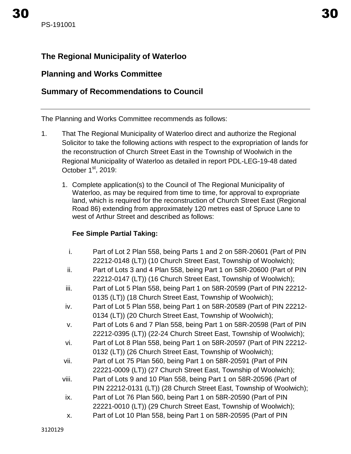# <span id="page-27-0"></span>**The Regional Municipality of Waterloo**

# **Planning and Works Committee**

# **Summary of Recommendations to Council**

The Planning and Works Committee recommends as follows:

- 1. That The Regional Municipality of Waterloo direct and authorize the Regional Solicitor to take the following actions with respect to the expropriation of lands for the reconstruction of Church Street East in the Township of Woolwich in the Regional Municipality of Waterloo as detailed in report PDL-LEG-19-48 dated October  $1<sup>st</sup>$ , 2019:
	- 1. Complete application(s) to the Council of The Regional Municipality of Waterloo, as may be required from time to time, for approval to expropriate land, which is required for the reconstruction of Church Street East (Regional Road 86) extending from approximately 120 metres east of Spruce Lane to west of Arthur Street and described as follows:

## **Fee Simple Partial Taking:**

- i. Part of Lot 2 Plan 558, being Parts 1 and 2 on 58R-20601 (Part of PIN 22212-0148 (LT)) (10 Church Street East, Township of Woolwich);
- ii. Part of Lots 3 and 4 Plan 558, being Part 1 on 58R-20600 (Part of PIN 22212-0147 (LT)) (16 Church Street East, Township of Woolwich);
- iii. Part of Lot 5 Plan 558, being Part 1 on 58R-20599 (Part of PIN 22212-0135 (LT)) (18 Church Street East, Township of Woolwich);
- iv. Part of Lot 5 Plan 558, being Part 1 on 58R-20589 (Part of PIN 22212- 0134 (LT)) (20 Church Street East, Township of Woolwich);
- v. Part of Lots 6 and 7 Plan 558, being Part 1 on 58R-20598 (Part of PIN 22212-0395 (LT)) (22-24 Church Street East, Township of Woolwich);
- vi. Part of Lot 8 Plan 558, being Part 1 on 58R-20597 (Part of PIN 22212- 0132 (LT)) (26 Church Street East, Township of Woolwich);
- vii. Part of Lot 75 Plan 560, being Part 1 on 58R-20591 (Part of PIN 22221-0009 (LT)) (27 Church Street East, Township of Woolwich);
- viii. Part of Lots 9 and 10 Plan 558, being Part 1 on 58R-20596 (Part of PIN 22212-0131 (LT)) (28 Church Street East, Township of Woolwich);
- ix. Part of Lot 76 Plan 560, being Part 1 on 58R-20590 (Part of PIN 22221-0010 (LT)) (29 Church Street East, Township of Woolwich);
- x. Part of Lot 10 Plan 558, being Part 1 on 58R-20595 (Part of PIN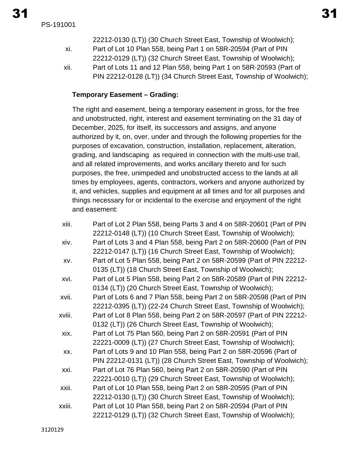PS-191001

- 22212-0130 (LT)) (30 Church Street East, Township of Woolwich); xi. Part of Lot 10 Plan 558, being Part 1 on 58R-20594 (Part of PIN 22212-0129 (LT)) (32 Church Street East, Township of Woolwich);
- xii. Part of Lots 11 and 12 Plan 558, being Part 1 on 58R-20593 (Part of PIN 22212-0128 (LT)) (34 Church Street East, Township of Woolwich);

## **Temporary Easement – Grading:**

The right and easement, being a temporary easement in gross, for the free and unobstructed, right, interest and easement terminating on the 31 day of December, 2025, for itself, its successors and assigns, and anyone authorized by it, on, over, under and through the following properties for the purposes of excavation, construction, installation, replacement, alteration, grading, and landscaping as required in connection with the multi-use trail, and all related improvements, and works ancillary thereto and for such purposes, the free, unimpeded and unobstructed access to the lands at all times by employees, agents, contractors, workers and anyone authorized by it, and vehicles, supplies and equipment at all times and for all purposes and things necessary for or incidental to the exercise and enjoyment of the right and easement:

| xiii.  | Part of Lot 2 Plan 558, being Parts 3 and 4 on 58R-20601 (Part of PIN |
|--------|-----------------------------------------------------------------------|
|        | 22212-0148 (LT)) (10 Church Street East, Township of Woolwich);       |
| xiv.   | Part of Lots 3 and 4 Plan 558, being Part 2 on 58R-20600 (Part of PIN |
|        | 22212-0147 (LT)) (16 Church Street East, Township of Woolwich);       |
| XV.    | Part of Lot 5 Plan 558, being Part 2 on 58R-20599 (Part of PIN 22212- |
|        | 0135 (LT)) (18 Church Street East, Township of Woolwich);             |
| xvi.   | Part of Lot 5 Plan 558, being Part 2 on 58R-20589 (Part of PIN 22212- |
|        | 0134 (LT)) (20 Church Street East, Township of Woolwich);             |
| xvii.  | Part of Lots 6 and 7 Plan 558, being Part 2 on 58R-20598 (Part of PIN |
|        | 22212-0395 (LT)) (22-24 Church Street East, Township of Woolwich);    |
| xviii. | Part of Lot 8 Plan 558, being Part 2 on 58R-20597 (Part of PIN 22212- |
|        | 0132 (LT)) (26 Church Street East, Township of Woolwich);             |
| xix.   | Part of Lot 75 Plan 560, being Part 2 on 58R-20591 (Part of PIN       |
|        | 22221-0009 (LT)) (27 Church Street East, Township of Woolwich);       |
| XX.    | Part of Lots 9 and 10 Plan 558, being Part 2 on 58R-20596 (Part of    |
|        | PIN 22212-0131 (LT)) (28 Church Street East, Township of Woolwich);   |
| xxi.   | Part of Lot 76 Plan 560, being Part 2 on 58R-20590 (Part of PIN       |
|        | 22221-0010 (LT)) (29 Church Street East, Township of Woolwich);       |
| xxii.  | Part of Lot 10 Plan 558, being Part 2 on 58R-20595 (Part of PIN       |
|        | 22212-0130 (LT)) (30 Church Street East, Township of Woolwich);       |
| xxiii. | Part of Lot 10 Plan 558, being Part 2 on 58R-20594 (Part of PIN       |
|        | 22212-0129 (LT)) (32 Church Street East, Township of Woolwich);       |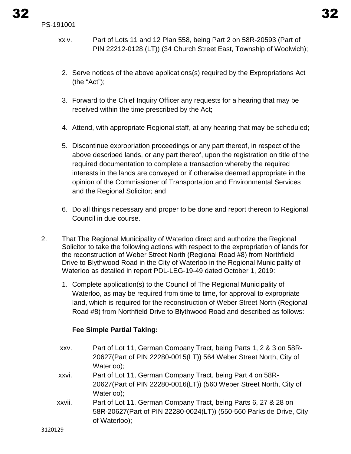- xxiv. Part of Lots 11 and 12 Plan 558, being Part 2 on 58R-20593 (Part of PIN 22212-0128 (LT)) (34 Church Street East, Township of Woolwich);
- 2. Serve notices of the above applications(s) required by the Expropriations Act (the "Act");
- 3. Forward to the Chief Inquiry Officer any requests for a hearing that may be received within the time prescribed by the Act;
- 4. Attend, with appropriate Regional staff, at any hearing that may be scheduled;
- 5. Discontinue expropriation proceedings or any part thereof, in respect of the above described lands, or any part thereof, upon the registration on title of the required documentation to complete a transaction whereby the required interests in the lands are conveyed or if otherwise deemed appropriate in the opinion of the Commissioner of Transportation and Environmental Services and the Regional Solicitor; and
- 6. Do all things necessary and proper to be done and report thereon to Regional Council in due course.
- 2. That The Regional Municipality of Waterloo direct and authorize the Regional Solicitor to take the following actions with respect to the expropriation of lands for the reconstruction of Weber Street North (Regional Road #8) from Northfield Drive to Blythwood Road in the City of Waterloo in the Regional Municipality of Waterloo as detailed in report PDL-LEG-19-49 dated October 1, 2019:
	- 1. Complete application(s) to the Council of The Regional Municipality of Waterloo, as may be required from time to time, for approval to expropriate land, which is required for the reconstruction of Weber Street North (Regional Road #8) from Northfield Drive to Blythwood Road and described as follows:

## **Fee Simple Partial Taking:**

xxv. Part of Lot 11, German Company Tract, being Parts 1, 2 & 3 on 58R-20627(Part of PIN 22280-0015(LT)) 564 Weber Street North, City of Waterloo); xxvi. Part of Lot 11, German Company Tract, being Part 4 on 58R-20627(Part of PIN 22280-0016(LT)) (560 Weber Street North, City of Waterloo); xxvii. Part of Lot 11, German Company Tract, being Parts 6, 27 & 28 on 58R-20627(Part of PIN 22280-0024(LT)) (550-560 Parkside Drive, City of Waterloo);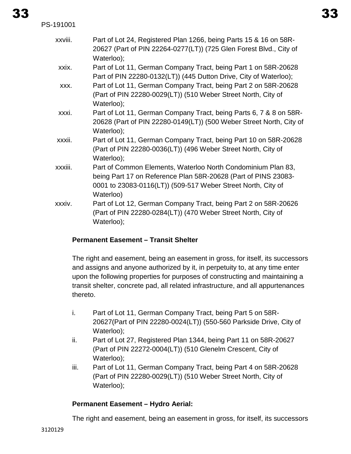| PS-191001 |                                                                                                                                                                                                             |
|-----------|-------------------------------------------------------------------------------------------------------------------------------------------------------------------------------------------------------------|
| xxviii.   | Part of Lot 24, Registered Plan 1266, being Parts 15 & 16 on 58R-<br>20627 (Part of PIN 22264-0277(LT)) (725 Glen Forest Blvd., City of<br>Waterloo);                                                       |
| xxix.     | Part of Lot 11, German Company Tract, being Part 1 on 58R-20628<br>Part of PIN 22280-0132(LT)) (445 Dutton Drive, City of Waterloo);                                                                        |
| XXX.      | Part of Lot 11, German Company Tract, being Part 2 on 58R-20628<br>(Part of PIN 22280-0029(LT)) (510 Weber Street North, City of<br>Waterloo);                                                              |
| xxxi.     | Part of Lot 11, German Company Tract, being Parts 6, 7 & 8 on 58R-<br>20628 (Part of PIN 22280-0149(LT)) (500 Weber Street North, City of<br>Waterloo);                                                     |
| xxxii.    | Part of Lot 11, German Company Tract, being Part 10 on 58R-20628<br>(Part of PIN 22280-0036(LT)) (496 Weber Street North, City of<br>Waterloo);                                                             |
| xxxiii.   | Part of Common Elements, Waterloo North Condominium Plan 83,<br>being Part 17 on Reference Plan 58R-20628 (Part of PINS 23083-<br>0001 to 23083-0116(LT)) (509-517 Weber Street North, City of<br>Waterloo) |
| xxxiv.    | Part of Lot 12, German Company Tract, being Part 2 on 58R-20626<br>(Part of PIN 22280-0284(LT)) (470 Weber Street North, City of<br>Waterloo);                                                              |

#### **Permanent Easement – Transit Shelter**

The right and easement, being an easement in gross, for itself, its successors and assigns and anyone authorized by it, in perpetuity to, at any time enter upon the following properties for purposes of constructing and maintaining a transit shelter, concrete pad, all related infrastructure, and all appurtenances thereto.

- i. Part of Lot 11, German Company Tract, being Part 5 on 58R-20627(Part of PIN 22280-0024(LT)) (550-560 Parkside Drive, City of Waterloo);
- ii. Part of Lot 27, Registered Plan 1344, being Part 11 on 58R-20627 (Part of PIN 22272-0004(LT)) (510 Glenelm Crescent, City of Waterloo);
- iii. Part of Lot 11, German Company Tract, being Part 4 on 58R-20628 (Part of PIN 22280-0029(LT)) (510 Weber Street North, City of Waterloo);

#### **Permanent Easement – Hydro Aerial:**

The right and easement, being an easement in gross, for itself, its successors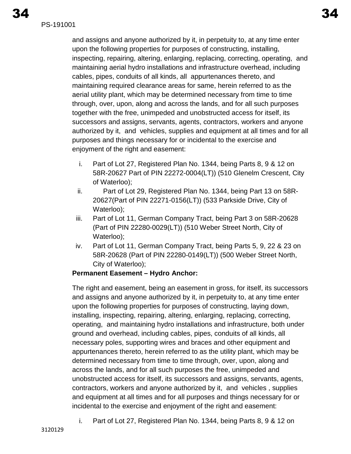and assigns and anyone authorized by it, in perpetuity to, at any time enter upon the following properties for purposes of constructing, installing, inspecting, repairing, altering, enlarging, replacing, correcting, operating, and maintaining aerial hydro installations and infrastructure overhead, including cables, pipes, conduits of all kinds, all appurtenances thereto, and maintaining required clearance areas for same, herein referred to as the aerial utility plant, which may be determined necessary from time to time through, over, upon, along and across the lands, and for all such purposes together with the free, unimpeded and unobstructed access for itself, its successors and assigns, servants, agents, contractors, workers and anyone authorized by it, and vehicles, supplies and equipment at all times and for all purposes and things necessary for or incidental to the exercise and enjoyment of the right and easement:

- i. Part of Lot 27, Registered Plan No. 1344, being Parts 8, 9 & 12 on 58R-20627 Part of PIN 22272-0004(LT)) (510 Glenelm Crescent, City of Waterloo);
- ii. Part of Lot 29, Registered Plan No. 1344, being Part 13 on 58R-20627(Part of PIN 22271-0156(LT)) (533 Parkside Drive, City of Waterloo);
- iii. Part of Lot 11, German Company Tract, being Part 3 on 58R-20628 (Part of PIN 22280-0029(LT)) (510 Weber Street North, City of Waterloo);
- iv. Part of Lot 11, German Company Tract, being Parts 5, 9, 22 & 23 on 58R-20628 (Part of PIN 22280-0149(LT)) (500 Weber Street North, City of Waterloo);

## **Permanent Easement – Hydro Anchor:**

The right and easement, being an easement in gross, for itself, its successors and assigns and anyone authorized by it, in perpetuity to, at any time enter upon the following properties for purposes of constructing, laying down, installing, inspecting, repairing, altering, enlarging, replacing, correcting, operating, and maintaining hydro installations and infrastructure, both under ground and overhead, including cables, pipes, conduits of all kinds, all necessary poles, supporting wires and braces and other equipment and appurtenances thereto, herein referred to as the utility plant, which may be determined necessary from time to time through, over, upon, along and across the lands, and for all such purposes the free, unimpeded and unobstructed access for itself, its successors and assigns, servants, agents, contractors, workers and anyone authorized by it, and vehicles , supplies and equipment at all times and for all purposes and things necessary for or incidental to the exercise and enjoyment of the right and easement:

i. Part of Lot 27, Registered Plan No. 1344, being Parts 8, 9 & 12 on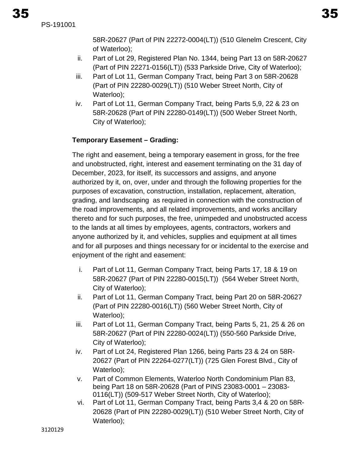PS-191001

58R-20627 (Part of PIN 22272-0004(LT)) (510 Glenelm Crescent, City of Waterloo);

- ii. Part of Lot 29, Registered Plan No. 1344, being Part 13 on 58R-20627 (Part of PIN 22271-0156(LT)) (533 Parkside Drive, City of Waterloo);
- iii. Part of Lot 11, German Company Tract, being Part 3 on 58R-20628 (Part of PIN 22280-0029(LT)) (510 Weber Street North, City of Waterloo);
- iv. Part of Lot 11, German Company Tract, being Parts 5,9, 22 & 23 on 58R-20628 (Part of PIN 22280-0149(LT)) (500 Weber Street North, City of Waterloo);

## **Temporary Easement – Grading:**

The right and easement, being a temporary easement in gross, for the free and unobstructed, right, interest and easement terminating on the 31 day of December, 2023, for itself, its successors and assigns, and anyone authorized by it, on, over, under and through the following properties for the purposes of excavation, construction, installation, replacement, alteration, grading, and landscaping as required in connection with the construction of the road improvements, and all related improvements, and works ancillary thereto and for such purposes, the free, unimpeded and unobstructed access to the lands at all times by employees, agents, contractors, workers and anyone authorized by it, and vehicles, supplies and equipment at all times and for all purposes and things necessary for or incidental to the exercise and enjoyment of the right and easement:

- i. Part of Lot 11, German Company Tract, being Parts 17, 18 & 19 on 58R-20627 (Part of PIN 22280-0015(LT)) (564 Weber Street North, City of Waterloo);
- ii. Part of Lot 11, German Company Tract, being Part 20 on 58R-20627 (Part of PIN 22280-0016(LT)) (560 Weber Street North, City of Waterloo);
- iii. Part of Lot 11, German Company Tract, being Parts 5, 21, 25 & 26 on 58R-20627 (Part of PIN 22280-0024(LT)) (550-560 Parkside Drive, City of Waterloo);
- iv. Part of Lot 24, Registered Plan 1266, being Parts 23 & 24 on 58R-20627 (Part of PIN 22264-0277(LT)) (725 Glen Forest Blvd., City of Waterloo);
- v. Part of Common Elements, Waterloo North Condominium Plan 83, being Part 18 on 58R-20628 (Part of PINS 23083-0001 – 23083- 0116(LT)) (509-517 Weber Street North, City of Waterloo);
- vi. Part of Lot 11, German Company Tract, being Parts 3,4 & 20 on 58R-20628 (Part of PIN 22280-0029(LT)) (510 Weber Street North, City of Waterloo):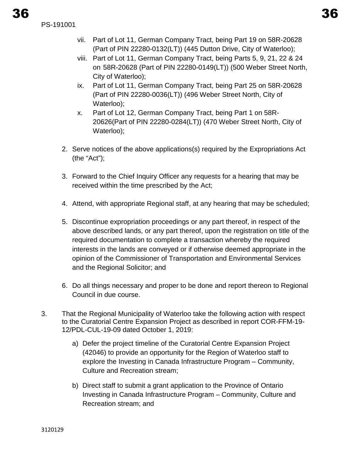- vii. Part of Lot 11, German Company Tract, being Part 19 on 58R-20628 (Part of PIN 22280-0132(LT)) (445 Dutton Drive, City of Waterloo);
- viii. Part of Lot 11, German Company Tract, being Parts 5, 9, 21, 22 & 24 on 58R-20628 (Part of PIN 22280-0149(LT)) (500 Weber Street North, City of Waterloo);
- ix. Part of Lot 11, German Company Tract, being Part 25 on 58R-20628 (Part of PIN 22280-0036(LT)) (496 Weber Street North, City of Waterloo);
- x. Part of Lot 12, German Company Tract, being Part 1 on 58R-20626(Part of PIN 22280-0284(LT)) (470 Weber Street North, City of Waterloo);
- 2. Serve notices of the above applications(s) required by the Expropriations Act (the "Act");
- 3. Forward to the Chief Inquiry Officer any requests for a hearing that may be received within the time prescribed by the Act;
- 4. Attend, with appropriate Regional staff, at any hearing that may be scheduled;
- 5. Discontinue expropriation proceedings or any part thereof, in respect of the above described lands, or any part thereof, upon the registration on title of the required documentation to complete a transaction whereby the required interests in the lands are conveyed or if otherwise deemed appropriate in the opinion of the Commissioner of Transportation and Environmental Services and the Regional Solicitor; and
- 6. Do all things necessary and proper to be done and report thereon to Regional Council in due course.
- 3. That the Regional Municipality of Waterloo take the following action with respect to the Curatorial Centre Expansion Project as described in report COR-FFM-19- 12/PDL-CUL-19-09 dated October 1, 2019:
	- a) Defer the project timeline of the Curatorial Centre Expansion Project (42046) to provide an opportunity for the Region of Waterloo staff to explore the Investing in Canada Infrastructure Program – Community, Culture and Recreation stream;
	- b) Direct staff to submit a grant application to the Province of Ontario Investing in Canada Infrastructure Program – Community, Culture and Recreation stream; and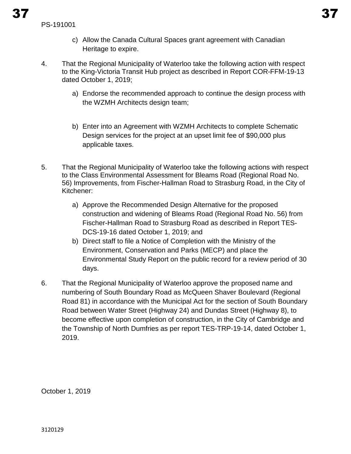- c) Allow the Canada Cultural Spaces grant agreement with Canadian Heritage to expire.
- 4. That the Regional Municipality of Waterloo take the following action with respect to the King-Victoria Transit Hub project as described in Report COR-FFM-19-13 dated October 1, 2019;
	- a) Endorse the recommended approach to continue the design process with the WZMH Architects design team;
	- b) Enter into an Agreement with WZMH Architects to complete Schematic Design services for the project at an upset limit fee of \$90,000 plus applicable taxes.
- 5. That the Regional Municipality of Waterloo take the following actions with respect to the Class Environmental Assessment for Bleams Road (Regional Road No. 56) Improvements, from Fischer-Hallman Road to Strasburg Road, in the City of Kitchener:
	- a) Approve the Recommended Design Alternative for the proposed construction and widening of Bleams Road (Regional Road No. 56) from Fischer-Hallman Road to Strasburg Road as described in Report TES-DCS-19-16 dated October 1, 2019; and
	- b) Direct staff to file a Notice of Completion with the Ministry of the Environment, Conservation and Parks (MECP) and place the Environmental Study Report on the public record for a review period of 30 days.
- 6. That the Regional Municipality of Waterloo approve the proposed name and numbering of South Boundary Road as McQueen Shaver Boulevard (Regional Road 81) in accordance with the Municipal Act for the section of South Boundary Road between Water Street (Highway 24) and Dundas Street (Highway 8), to become effective upon completion of construction, in the City of Cambridge and the Township of North Dumfries as per report TES-TRP-19-14, dated October 1, 2019.

October 1, 2019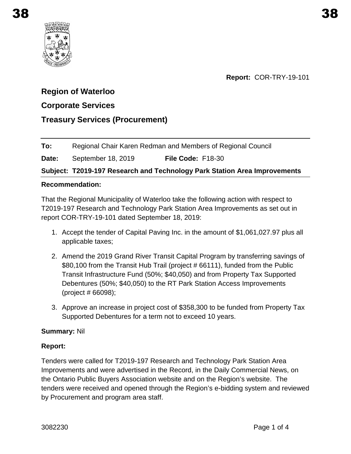<span id="page-35-0"></span>

## **Report:** COR-TRY-19-101

# **Region of Waterloo**

## **Corporate Services**

# **Treasury Services (Procurement)**

## **To:** Regional Chair Karen Redman and Members of Regional Council

## **Date:** September 18, 2019 **File Code:** F18-30

## **Subject: T2019-197 Research and Technology Park Station Area Improvements**

#### **Recommendation:**

That the Regional Municipality of Waterloo take the following action with respect to T2019-197 Research and Technology Park Station Area Improvements as set out in report COR-TRY-19-101 dated September 18, 2019:

- 1. Accept the tender of Capital Paving Inc. in the amount of \$1,061,027.97 plus all applicable taxes;
- 2. Amend the 2019 Grand River Transit Capital Program by transferring savings of \$80,100 from the Transit Hub Trail (project # 66111), funded from the Public Transit Infrastructure Fund (50%; \$40,050) and from Property Tax Supported Debentures (50%; \$40,050) to the RT Park Station Access Improvements (project # 66098);
- 3. Approve an increase in project cost of \$358,300 to be funded from Property Tax Supported Debentures for a term not to exceed 10 years.

## **Summary:** Nil

## **Report:**

Tenders were called for T2019-197 Research and Technology Park Station Area Improvements and were advertised in the Record, in the Daily Commercial News, on the Ontario Public Buyers Association website and on the Region's website. The tenders were received and opened through the Region's e-bidding system and reviewed by Procurement and program area staff.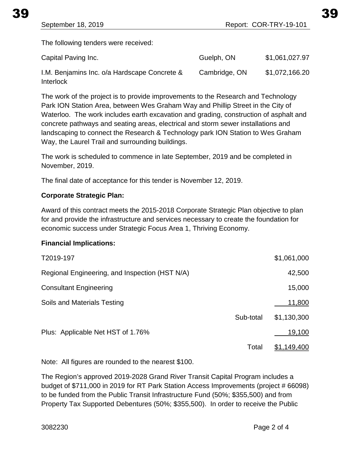The following tenders were received:

| Capital Paving Inc.                                       | Guelph, ON    | \$1,061,027.97 |
|-----------------------------------------------------------|---------------|----------------|
| I.M. Benjamins Inc. o/a Hardscape Concrete &<br>Interlock | Cambridge, ON | \$1,072,166.20 |

The work of the project is to provide improvements to the Research and Technology Park ION Station Area, between Wes Graham Way and Phillip Street in the City of Waterloo. The work includes earth excavation and grading, construction of asphalt and concrete pathways and seating areas, electrical and storm sewer installations and landscaping to connect the Research & Technology park ION Station to Wes Graham Way, the Laurel Trail and surrounding buildings.

The work is scheduled to commence in late September, 2019 and be completed in November, 2019.

The final date of acceptance for this tender is November 12, 2019.

#### **Corporate Strategic Plan:**

Award of this contract meets the 2015-2018 Corporate Strategic Plan objective to plan for and provide the infrastructure and services necessary to create the foundation for economic success under Strategic Focus Area 1, Thriving Economy.

#### **Financial Implications:**

| T2019-197                                      |           | \$1,061,000        |
|------------------------------------------------|-----------|--------------------|
| Regional Engineering, and Inspection (HST N/A) |           | 42,500             |
| <b>Consultant Engineering</b>                  |           | 15,000             |
| Soils and Materials Testing                    |           | 11,800             |
|                                                | Sub-total | \$1,130,300        |
| Plus: Applicable Net HST of 1.76%              |           | 19,100             |
|                                                | Total     | <u>\$1,149,400</u> |

Note: All figures are rounded to the nearest \$100.

The Region's approved 2019-2028 Grand River Transit Capital Program includes a budget of \$711,000 in 2019 for RT Park Station Access Improvements (project # 66098) to be funded from the Public Transit Infrastructure Fund (50%; \$355,500) and from Property Tax Supported Debentures (50%; \$355,500). In order to receive the Public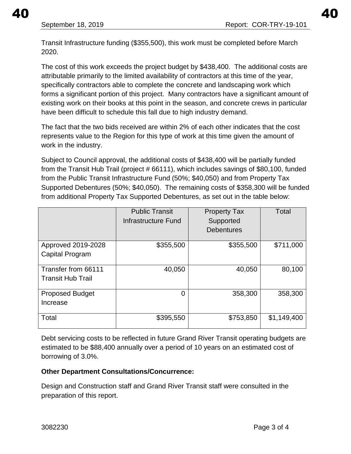40 40

Transit Infrastructure funding (\$355,500), this work must be completed before March 2020.

The cost of this work exceeds the project budget by \$438,400. The additional costs are attributable primarily to the limited availability of contractors at this time of the year, specifically contractors able to complete the concrete and landscaping work which forms a significant portion of this project. Many contractors have a significant amount of existing work on their books at this point in the season, and concrete crews in particular have been difficult to schedule this fall due to high industry demand.

The fact that the two bids received are within 2% of each other indicates that the cost represents value to the Region for this type of work at this time given the amount of work in the industry.

Subject to Council approval, the additional costs of \$438,400 will be partially funded from the Transit Hub Trail (project # 66111), which includes savings of \$80,100, funded from the Public Transit Infrastructure Fund (50%; \$40,050) and from Property Tax Supported Debentures (50%; \$40,050). The remaining costs of \$358,300 will be funded from additional Property Tax Supported Debentures, as set out in the table below:

|                                                 | <b>Public Transit</b><br><b>Infrastructure Fund</b> | <b>Property Tax</b><br>Supported<br><b>Debentures</b> | Total       |
|-------------------------------------------------|-----------------------------------------------------|-------------------------------------------------------|-------------|
| Approved 2019-2028<br>Capital Program           | \$355,500                                           | \$355,500                                             | \$711,000   |
| Transfer from 66111<br><b>Transit Hub Trail</b> | 40,050                                              | 40,050                                                | 80,100      |
| <b>Proposed Budget</b><br>Increase              | 0                                                   | 358,300                                               | 358,300     |
| Total                                           | \$395,550                                           | \$753,850                                             | \$1,149,400 |

Debt servicing costs to be reflected in future Grand River Transit operating budgets are estimated to be \$88,400 annually over a period of 10 years on an estimated cost of borrowing of 3.0%.

## **Other Department Consultations/Concurrence:**

Design and Construction staff and Grand River Transit staff were consulted in the preparation of this report.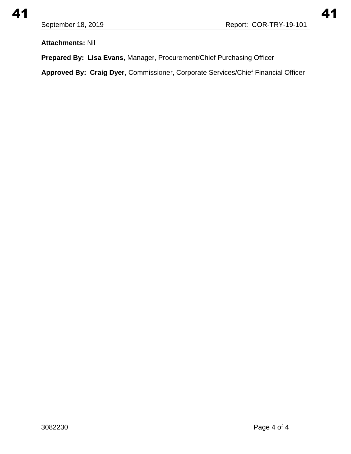**Attachments:** Nil

**Prepared By: Lisa Evans**, Manager, Procurement/Chief Purchasing Officer

**Approved By: Craig Dyer**, Commissioner, Corporate Services/Chief Financial Officer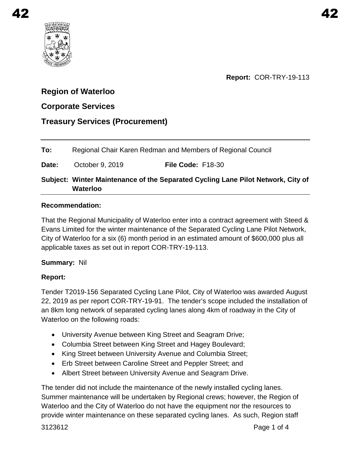<span id="page-39-0"></span>

**Report:** COR-TRY-19-113

# **Region of Waterloo**

# **Corporate Services**

| <b>Treasury Services (Procurement)</b> |  |
|----------------------------------------|--|
|----------------------------------------|--|

**To:** Regional Chair Karen Redman and Members of Regional Council **Date:** October 9, 2019 **File Code:** F18-30

# **Subject: Winter Maintenance of the Separated Cycling Lane Pilot Network, City of Waterloo**

## **Recommendation:**

That the Regional Municipality of Waterloo enter into a contract agreement with Steed & Evans Limited for the winter maintenance of the Separated Cycling Lane Pilot Network, City of Waterloo for a six (6) month period in an estimated amount of \$600,000 plus all applicable taxes as set out in report COR-TRY-19-113.

## **Summary:** Nil

## **Report:**

Tender T2019-156 Separated Cycling Lane Pilot, City of Waterloo was awarded August 22, 2019 as per report COR-TRY-19-91. The tender's scope included the installation of an 8km long network of separated cycling lanes along 4km of roadway in the City of Waterloo on the following roads:

- University Avenue between King Street and Seagram Drive;
- Columbia Street between King Street and Hagey Boulevard;
- King Street between University Avenue and Columbia Street;
- Erb Street between Caroline Street and Peppler Street; and
- Albert Street between University Avenue and Seagram Drive.

The tender did not include the maintenance of the newly installed cycling lanes. Summer maintenance will be undertaken by Regional crews; however, the Region of Waterloo and the City of Waterloo do not have the equipment nor the resources to provide winter maintenance on these separated cycling lanes. As such, Region staff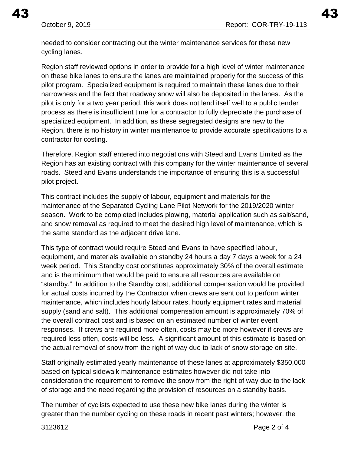needed to consider contracting out the winter maintenance services for these new cycling lanes.

Region staff reviewed options in order to provide for a high level of winter maintenance on these bike lanes to ensure the lanes are maintained properly for the success of this pilot program. Specialized equipment is required to maintain these lanes due to their narrowness and the fact that roadway snow will also be deposited in the lanes. As the pilot is only for a two year period, this work does not lend itself well to a public tender process as there is insufficient time for a contractor to fully depreciate the purchase of specialized equipment. In addition, as these segregated designs are new to the Region, there is no history in winter maintenance to provide accurate specifications to a contractor for costing.

Therefore, Region staff entered into negotiations with Steed and Evans Limited as the Region has an existing contract with this company for the winter maintenance of several roads. Steed and Evans understands the importance of ensuring this is a successful pilot project.

This contract includes the supply of labour, equipment and materials for the maintenance of the Separated Cycling Lane Pilot Network for the 2019/2020 winter season. Work to be completed includes plowing, material application such as salt/sand, and snow removal as required to meet the desired high level of maintenance, which is the same standard as the adjacent drive lane.

This type of contract would require Steed and Evans to have specified labour, equipment, and materials available on standby 24 hours a day 7 days a week for a 24 week period. This Standby cost constitutes approximately 30% of the overall estimate and is the minimum that would be paid to ensure all resources are available on "standby." In addition to the Standby cost, additional compensation would be provided for actual costs incurred by the Contractor when crews are sent out to perform winter maintenance, which includes hourly labour rates, hourly equipment rates and material supply (sand and salt). This additional compensation amount is approximately 70% of the overall contract cost and is based on an estimated number of winter event responses. If crews are required more often, costs may be more however if crews are required less often, costs will be less. A significant amount of this estimate is based on the actual removal of snow from the right of way due to lack of snow storage on site.

Staff originally estimated yearly maintenance of these lanes at approximately \$350,000 based on typical sidewalk maintenance estimates however did not take into consideration the requirement to remove the snow from the right of way due to the lack of storage and the need regarding the provision of resources on a standby basis.

The number of cyclists expected to use these new bike lanes during the winter is greater than the number cycling on these roads in recent past winters; however, the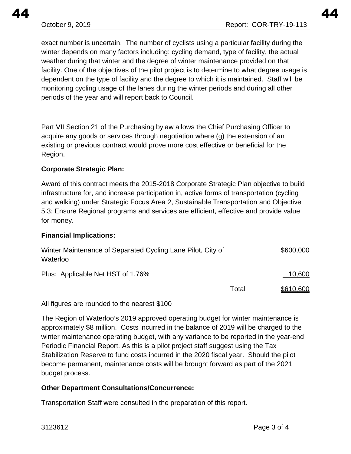exact number is uncertain. The number of cyclists using a particular facility during the winter depends on many factors including: cycling demand, type of facility, the actual weather during that winter and the degree of winter maintenance provided on that facility. One of the objectives of the pilot project is to determine to what degree usage is dependent on the type of facility and the degree to which it is maintained. Staff will be monitoring cycling usage of the lanes during the winter periods and during all other periods of the year and will report back to Council.

Part VII Section 21 of the Purchasing bylaw allows the Chief Purchasing Officer to acquire any goods or services through negotiation where (g) the extension of an existing or previous contract would prove more cost effective or beneficial for the Region.

## **Corporate Strategic Plan:**

Award of this contract meets the 2015-2018 Corporate Strategic Plan objective to build infrastructure for, and increase participation in, active forms of transportation (cycling and walking) under Strategic Focus Area 2, Sustainable Transportation and Objective 5.3: Ensure Regional programs and services are efficient, effective and provide value for money.

## **Financial Implications:**

| Winter Maintenance of Separated Cycling Lane Pilot, City of<br>Waterloo |       | \$600,000 |
|-------------------------------------------------------------------------|-------|-----------|
| Plus: Applicable Net HST of 1.76%                                       |       | 10,600    |
|                                                                         | Total | \$610,600 |

All figures are rounded to the nearest \$100

The Region of Waterloo's 2019 approved operating budget for winter maintenance is approximately \$8 million. Costs incurred in the balance of 2019 will be charged to the winter maintenance operating budget, with any variance to be reported in the year-end Periodic Financial Report. As this is a pilot project staff suggest using the Tax Stabilization Reserve to fund costs incurred in the 2020 fiscal year. Should the pilot become permanent, maintenance costs will be brought forward as part of the 2021 budget process.

## **Other Department Consultations/Concurrence:**

Transportation Staff were consulted in the preparation of this report.